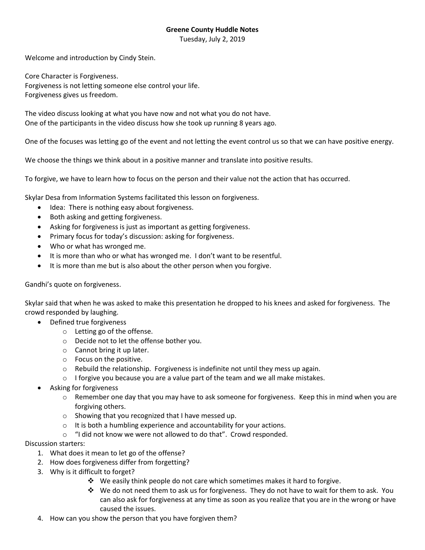## **Greene County Huddle Notes**

Tuesday, July 2, 2019

Welcome and introduction by Cindy Stein.

Core Character is Forgiveness. Forgiveness is not letting someone else control your life. Forgiveness gives us freedom.

The video discuss looking at what you have now and not what you do not have. One of the participants in the video discuss how she took up running 8 years ago.

One of the focuses was letting go of the event and not letting the event control us so that we can have positive energy.

We choose the things we think about in a positive manner and translate into positive results.

To forgive, we have to learn how to focus on the person and their value not the action that has occurred.

Skylar Desa from Information Systems facilitated this lesson on forgiveness.

- Idea: There is nothing easy about forgiveness.
- Both asking and getting forgiveness.
- Asking for forgiveness is just as important as getting forgiveness.
- Primary focus for today's discussion: asking for forgiveness.
- Who or what has wronged me.
- It is more than who or what has wronged me. I don't want to be resentful.
- It is more than me but is also about the other person when you forgive.

## Gandhi's quote on forgiveness.

Skylar said that when he was asked to make this presentation he dropped to his knees and asked for forgiveness. The crowd responded by laughing.

- Defined true forgiveness
	- o Letting go of the offense.
	- o Decide not to let the offense bother you.
	- o Cannot bring it up later.
	- o Focus on the positive.
	- $\circ$  Rebuild the relationship. Forgiveness is indefinite not until they mess up again.
	- $\circ$  I forgive you because you are a value part of the team and we all make mistakes.
- Asking for forgiveness
	- $\circ$  Remember one day that you may have to ask someone for forgiveness. Keep this in mind when you are forgiving others.
	- o Showing that you recognized that I have messed up.
	- $\circ$  It is both a humbling experience and accountability for your actions.
	- o "I did not know we were not allowed to do that". Crowd responded.

## Discussion starters:

- 1. What does it mean to let go of the offense?
- 2. How does forgiveness differ from forgetting?
- 3. Why is it difficult to forget?
	- We easily think people do not care which sometimes makes it hard to forgive.
	- $\cdot \cdot$  We do not need them to ask us for forgiveness. They do not have to wait for them to ask. You can also ask for forgiveness at any time as soon as you realize that you are in the wrong or have caused the issues.
- 4. How can you show the person that you have forgiven them?